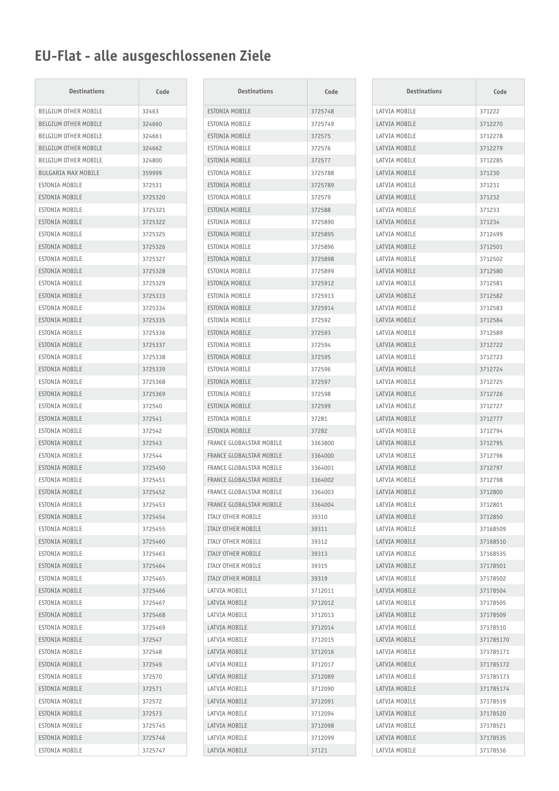## **EU-Flat - alle ausgeschlossenen Ziele**

| <b>Destinations</b>         | Code    | <b>Destinations</b>       | Code    | <b>Destinations</b> | Code      |
|-----------------------------|---------|---------------------------|---------|---------------------|-----------|
| BELGIUM OTHER MOBILE        | 32463   | ESTONIA MOBILE            | 3725748 | LATVIA MOBILE       | 371222    |
| <b>BELGIUM OTHER MOBILE</b> | 324660  | ESTONIA MOBILE            | 3725749 | LATVIA MOBILE       | 3712270   |
| <b>BELGIUM OTHER MOBILE</b> | 324661  | ESTONIA MOBILE            | 372575  | LATVIA MOBILE       | 3712278   |
| <b>BELGIUM OTHER MOBILE</b> | 324662  | ESTONIA MOBILE            | 372576  | LATVIA MOBILE       | 3712279   |
| BELGIUM OTHER MOBILE        | 324800  | ESTONIA MOBILE            | 372577  | LATVIA MOBILE       | 3712285   |
| <b>BULGARIA MAX MOBILE</b>  | 359999  | ESTONIA MOBILE            | 3725788 | LATVIA MOBILE       | 371230    |
| ESTONIA MOBILE              | 372531  | ESTONIA MOBILE            | 3725789 | LATVIA MOBILE       | 371231    |
| ESTONIA MOBILE              | 3725320 | ESTONIA MOBILE            | 372579  | LATVIA MOBILE       | 371232    |
| ESTONIA MOBILE              | 3725321 | ESTONIA MOBILE            | 372588  | LATVIA MOBILE       | 371233    |
| ESTONIA MOBILE              | 3725322 | ESTONIA MOBILE            | 3725890 | LATVIA MOBILE       | 371234    |
| ESTONIA MOBILE              | 3725325 | ESTONIA MOBILE            | 3725895 | LATVIA MOBILE       | 3712499   |
| ESTONIA MOBILE              | 3725326 | ESTONIA MOBILE            | 3725896 | LATVIA MOBILE       | 3712501   |
| ESTONIA MOBILE              | 3725327 | ESTONIA MOBILE            | 3725898 | LATVIA MOBILE       | 3712502   |
| ESTONIA MOBILE              | 3725328 | ESTONIA MOBILE            | 3725899 | LATVIA MOBILE       | 3712580   |
| ESTONIA MOBILE              | 3725329 | ESTONIA MOBILE            | 3725912 | LATVIA MOBILE       | 3712581   |
| ESTONIA MOBILE              | 3725333 | ESTONIA MOBILE            | 3725913 | LATVIA MOBILE       | 3712582   |
| ESTONIA MOBILE              | 3725334 | <b>ESTONIA MOBILE</b>     | 3725914 | LATVIA MOBILE       | 3712583   |
| ESTONIA MOBILE              | 3725335 | ESTONIA MOBILE            | 372592  | LATVIA MOBILE       | 3712584   |
| ESTONIA MOBILE              | 3725336 | <b>ESTONIA MOBILE</b>     | 372593  | LATVIA MOBILE       | 3712589   |
| ESTONIA MOBILE              | 3725337 | ESTONIA MOBILE            | 372594  | LATVIA MOBILE       | 3712722   |
| ESTONIA MOBILE              | 3725338 | ESTONIA MOBILE            | 372595  | LATVIA MOBILE       | 3712723   |
| ESTONIA MOBILE              | 3725339 | ESTONIA MOBILE            | 372596  | LATVIA MOBILE       | 3712724   |
| ESTONIA MOBILE              | 3725368 | ESTONIA MOBILE            | 372597  | LATVIA MOBILE       | 3712725   |
| ESTONIA MOBILE              | 3725369 | ESTONIA MOBILE            | 372598  | LATVIA MOBILE       | 3712726   |
| ESTONIA MOBILE              | 372540  | ESTONIA MOBILE            | 372599  | LATVIA MOBILE       | 3712727   |
| ESTONIA MOBILE              | 372541  | ESTONIA MOBILE            | 37281   | LATVIA MOBILE       | 3712777   |
| ESTONIA MOBILE              | 372542  | ESTONIA MOBILE            | 37282   | LATVIA MOBILE       | 3712794   |
| ESTONIA MOBILE              | 372543  | FRANCE GLOBALSTAR MOBILE  | 3363800 | LATVIA MOBILE       | 3712795   |
| ESTONIA MOBILE              | 372544  | FRANCE GLOBALSTAR MOBILE  | 3364000 | LATVIA MOBILE       | 3712796   |
| ESTONIA MOBILE              | 3725450 | FRANCE GLOBALSTAR MOBILE  | 3364001 | LATVIA MOBILE       | 3712797   |
| ESTONIA MOBILE              | 3725451 | FRANCE GLOBALSTAR MOBILE  | 3364002 | LATVIA MOBILE       | 3712798   |
| ESTONIA MOBILE              | 3725452 | FRANCE GLOBALSTAR MOBILE  | 3364003 | LATVIA MOBILE       | 3712800   |
| ESTONIA MOBILE              | 3725453 | FRANCE GLOBALSTAR MOBILE  | 3364004 | LATVIA MOBILE       | 3712801   |
| ESTONIA MOBILE              | 3725454 | ITALY OTHER MOBILE        | 39310   | LATVIA MOBILE       | 3712850   |
| ESTONIA MOBILE              | 3725455 | ITALY OTHER MOBILE        | 39311   | LATVIA MOBILE       | 37168509  |
| ESTONIA MOBILE              | 3725460 | <b>ITALY OTHER MOBILE</b> | 39312   | LATVIA MOBILE       | 37168510  |
| ESTONIA MOBILE              | 3725463 | ITALY OTHER MOBILE        | 39313   | LATVIA MOBILE       | 37168535  |
| ESTONIA MOBILE              | 3725464 | ITALY OTHER MOBILE        | 39315   | LATVIA MOBILE       | 37178501  |
| ESTONIA MOBILE              | 3725465 | ITALY OTHER MOBILE        | 39319   | LATVIA MOBILE       | 37178502  |
| ESTONIA MOBILE              | 3725466 | LATVIA MOBILE             | 3712011 | LATVIA MOBILE       | 37178504  |
| ESTONIA MOBILE              | 3725467 | LATVIA MOBILE             | 3712012 | LATVIA MOBILE       | 37178505  |
| ESTONIA MOBILE              | 3725468 | LATVIA MOBILE             | 3712013 | LATVIA MOBILE       | 37178509  |
| ESTONIA MOBILE              | 3725469 | LATVIA MOBILE             | 3712014 | LATVIA MOBILE       | 37178510  |
| ESTONIA MOBILE              | 372547  | LATVIA MOBILE             | 3712015 | LATVIA MOBILE       | 371785170 |
| ESTONIA MOBILE              | 372548  | LATVIA MOBILE             | 3712016 | LATVIA MOBILE       | 371785171 |
| ESTONIA MOBILE              | 372549  | LATVIA MOBILE             | 3712017 | LATVIA MOBILE       | 371785172 |
| ESTONIA MOBILE              | 372570  | LATVIA MOBILE             | 3712089 | LATVIA MOBILE       | 371785173 |
| ESTONIA MOBILE              | 372571  | LATVIA MOBILE             | 3712090 | LATVIA MOBILE       | 371785174 |
| ESTONIA MOBILE              | 372572  | LATVIA MOBILE             | 3712091 | LATVIA MOBILE       | 37178519  |
| ESTONIA MOBILE              | 372573  | LATVIA MOBILE             | 3712094 | LATVIA MOBILE       | 37178520  |
| ESTONIA MOBILE              | 3725745 | LATVIA MOBILE             | 3712098 | LATVIA MOBILE       | 37178521  |
| ESTONIA MOBILE              | 3725746 | LATVIA MOBILE             | 3712099 | LATVIA MOBILE       | 37178535  |
| ESTONIA MOBILE              | 3725747 | LATVIA MOBILE             | 37121   | LATVIA MOBILE       | 37178536  |
|                             |         |                           |         |                     |           |